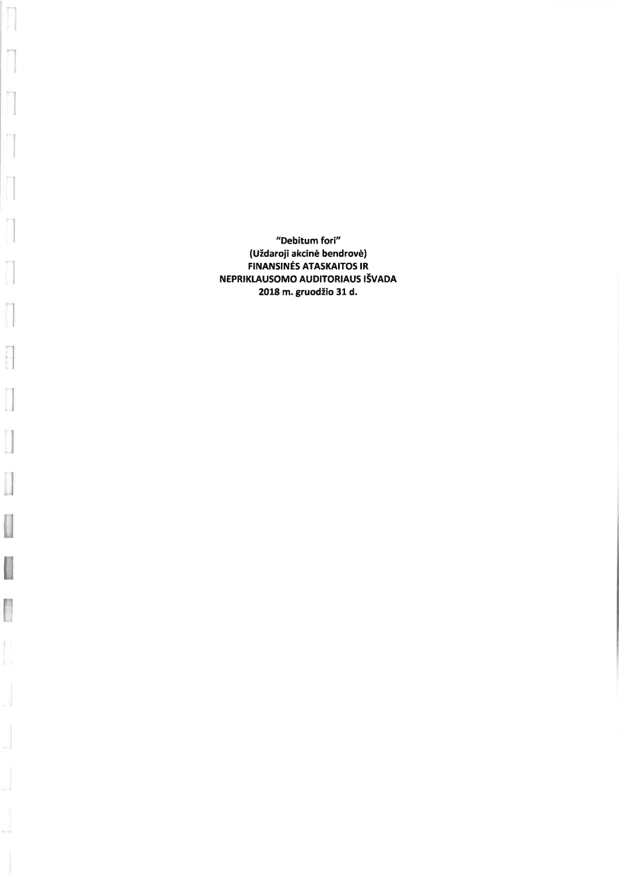"Debitum fori" (Uždaroji akcinė bendrovė) **FINANSINĖS ATASKAITOS IR** NEPRIKLAUSOMO AUDITORIAUS IŠVADA 2018 m. gruodžio 31 d.

Y

y.

×

ł

Î

**The State** 

I

 $\begin{bmatrix} 1 \\ 1 \end{bmatrix}$ 

I

I

Ī

b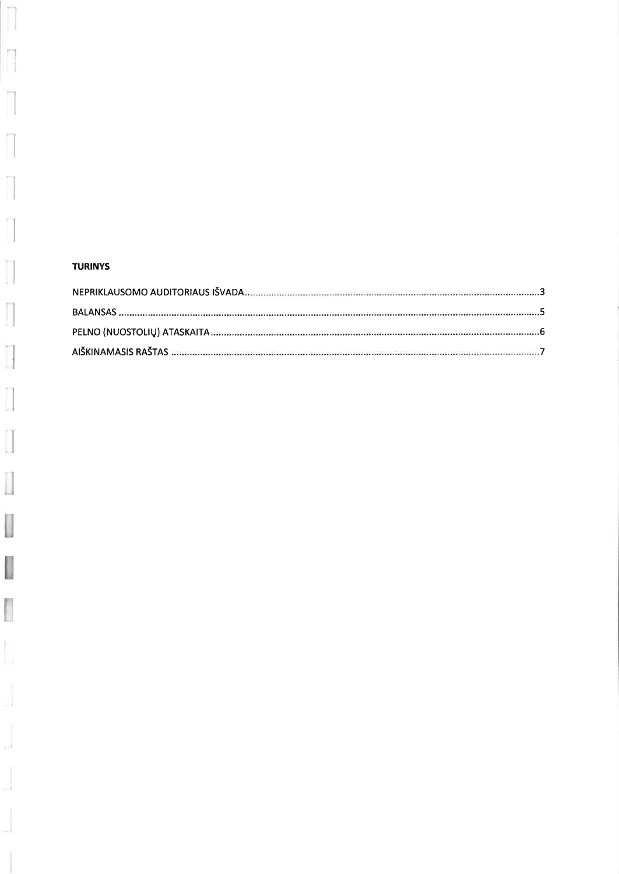# **TURINYS**

ŋ

n

 $\Box$ IJ

Π

f 11

Ť

 $\begin{bmatrix} \phantom{-} \end{bmatrix}$ 

 $\begin{array}{c} \hline \end{array}$ 

 $\begin{bmatrix} 1 \\ 1 \end{bmatrix}$ 

 $\begin{bmatrix} \phantom{-} \end{bmatrix}$ 

 $\overline{\mathbb{R}}$ 

Ĭ.

 $\frac{1}{2}$ 

J.

ال

 $\overline{a}$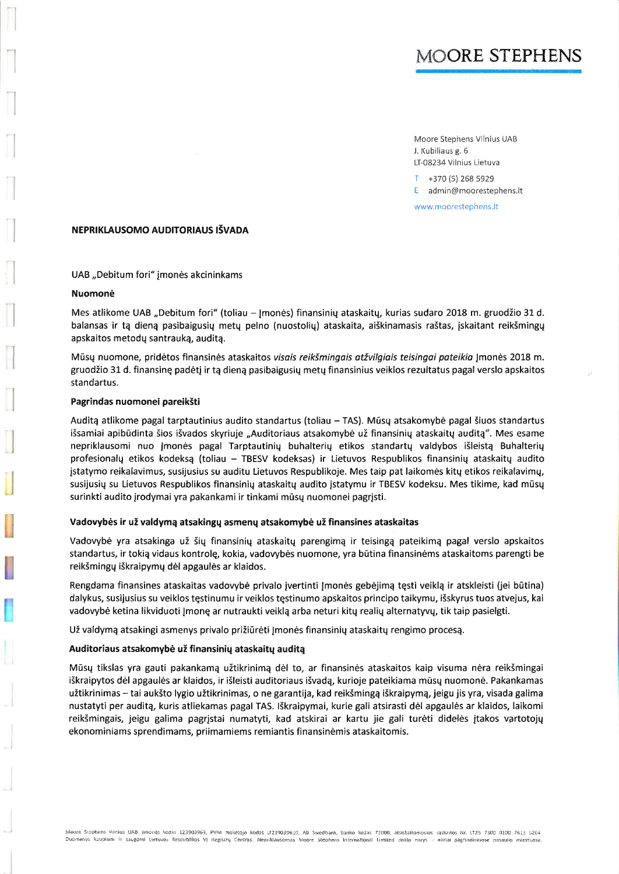# MOORE STEPHENS

Moore Stephens Vilnius UAB J. Kubiliaus g. 6 LT-08234 Vilnius Lietuva

T +370 (5) 268 5929

E admin@moorestephens.lt

www.moorestephens.lt

#### NEPRIKLAUSOMO AUDITORIAUS IŠVADA

UAB "Debitum fori" įmonės akcininkams

#### Nuomonė

Mes atlikome UAB "Debitum fori" (toliau - Jmonės) finansinių ataskaitų, kurias sudaro 2018 m. gruodžio 31 d. balansas ir tą dieną pasibaigusių metų pelno (nuostolių) ataskaita, aiškinamasis raštas, įskaitant reikšmingų apskaitos metodų santrauką, auditą.

Mūsų nuomone, pridėtos finansinės ataskaitos visais reikšmingais atžvilgiais teisingai pateikia Jmonės 2018 m. gruodžio 31 d. finansinę padėtį ir tą dieną pasibaigusių metų finansinius veiklos rezultatus pagal verslo apskaitos standartus.

#### Pagrindas nuomonei pareikšti

Auditą atlikome pagal tarptautinius audito standartus (toliau - TAS). Mūsų atsakomybė pagal šiuos standartus išsamiai apibūdinta šios išvados skyriuje "Auditoriaus atsakomybė už finansinių ataskaitų auditą". Mes esame nepriklausomi nuo Įmonės pagal Tarptautinių buhalterių etikos standartų valdybos išleistą Buhalterių profesionalų etikos kodeksą (toliau - TBESV kodeksas) ir Lietuvos Respublikos finansinių ataskaitų audito įstatymo reikalavimus, susijusius su auditu Lietuvos Respublikoje. Mes taip pat laikomės kitų etikos reikalavimų, susijusių su Lietuvos Respublikos finansinių ataskaitų audito įstatymu ir TBESV kodeksu. Mes tikime, kad mūsų surinkti audito įrodymai yra pakankami ir tinkami mūsų nuomonei pagrįsti.

#### Vadovybės ir už valdymą atsakingų asmenų atsakomybė už finansines ataskaitas

Vadovybė yra atsakinga už šių finansinių ataskaitų parengimą ir teisingą pateikimą pagal verslo apskaitos standartus, ir tokią vidaus kontrolę, kokia, vadovybės nuomone, yra būtina finansinėms ataskaitoms parengti be reikšmingų iškraipymų dėl apgaulės ar klaidos.

Rengdama finansines ataskaitas vadovybė privalo įvertinti Jmonės gebėjimą tęsti veiklą ir atskleisti (jei būtina) dalykus, susijusius su veiklos tęstinumu ir veiklos tęstinumo apskaitos principo taikymu, išskyrus tuos atvejus, kai vadovybė ketina likviduoti Įmonę ar nutraukti veiklą arba neturi kitų realių alternatyvų, tik taip pasielgti.

Už valdymą atsakingi asmenys privalo prižiūrėti Jmonės finansinių ataskaitų rengimo procesą.

#### Auditoriaus atsakomybė už finansinių ataskaitų auditą

Mūsų tikslas yra gauti pakankamą užtikrinimą dėl to, ar finansinės ataskaitos kaip visuma nėra reikšmingai iškraipytos dėl apgaulės ar klaidos, ir išleisti auditoriaus išvadą, kurioje pateikiama mūsų nuomonė. Pakankamas užtikrinimas – tai aukšto lygio užtikrinimas, o ne garantija, kad reikšmingą iškraipymą, jeigu jis yra, visada galima nustatyti per auditą, kuris atliekamas pagal TAS. Iškraipymai, kurie gali atsirasti dėl apgaulės ar klaidos, laikomi reikšmingais, jeigu galima pagrįstai numatyti, kad atskirai ar kartu jie gali turėti didelės įtakos vartotojų ekonominiams sprendimams, priimamiems remiantis finansinėmis ataskaitomis.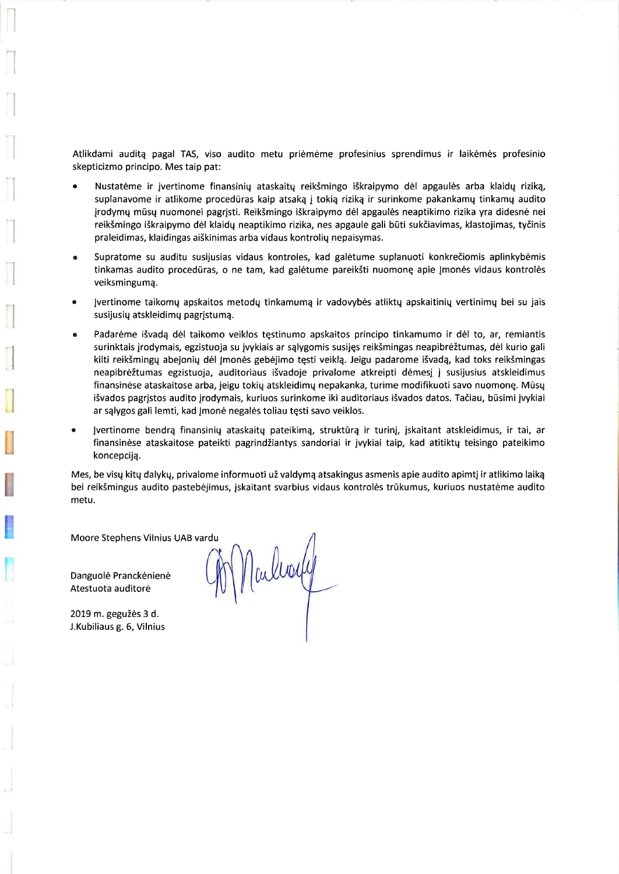Atlikdami auditą pagal TAS, viso audito metu priėmėme profesinius sprendimus ir laikėmės profesinio skepticizmo principo. Mes taip pat:

- Nustatėme ir jvertinome finansinių ataskaitų reikšmingo iškraipymo dėl apgaulės arba klaidų riziką, suplanavome ir atlikome procedūras kaip atsaką į tokią riziką ir surinkome pakankamų tinkamų audito jrodymų mūsų nuomonei pagrįsti. Reikšmingo iškraipymo dėl apgaulės neaptikimo rizika yra didesnė nei reikšmingo iškraipymo dėl klaidų neaptikimo rizika, nes apgaule gali būti sukčiavimas, klastojimas, tyčinis praleidimas, klaidingas aiškinimas arba vidaus kontrolių nepaisymas.
- Supratome su auditu susijusias vidaus kontroles, kad galėtume suplanuoti konkrečiomis aplinkybėmis tinkamas audito procedūras, o ne tam, kad galėtume pareikšti nuomonę apie Įmonės vidaus kontrolės veiksminguma.
- Įvertinome taikomų apskaitos metodų tinkamumą ir vadovybės atliktų apskaitinių vertinimų bei su jais susijusių atskleidimų pagrįstumą.
- Padarėme išvadą dėl taikomo veiklos tęstinumo apskaitos principo tinkamumo ir dėl to, ar, remiantis surinktais įrodymais, egzistuoja su įvykiais ar sąlygomis susijęs reikšmingas neapibrėžtumas, dėl kurio gali kilti reikšmingų abejonių dėl Įmonės gebėjimo tęsti veiklą. Jeigu padarome išvadą, kad toks reikšmingas neapibrėžtumas egzistuoja, auditoriaus išvadoje privalome atkreipti dėmesį į susijusius atskleidimus finansinėse ataskaitose arba, jeigu tokių atskleidimų nepakanka, turime modifikuoti savo nuomonę. Mūsų išvados pagrįstos audito įrodymais, kuriuos surinkome iki auditoriaus išvados datos. Tačiau, būsimi įvykiai ar sąlygos gali lemti, kad Jmonė negalės toliau tęsti savo veiklos.
- Įvertinome bendrą finansinių ataskaitų pateikimą, struktūrą ir turinį, įskaitant atskleidimus, ir tai, ar finansinėse ataskaitose pateikti pagrindžiantys sandoriai ir įvykiai taip, kad atitiktų teisingo pateikimo koncepciją.

Mes, be visų kitų dalykų, privalome informuoti už valdymą atsakingus asmenis apie audito apimtį ir atlikimo laiką bei reikšmingus audito pastebėjimus, įskaitant svarbius vidaus kontrolės trūkumus, kuriuos nustatėme audito metu.

Moore Stephens Vilnius UAB vardu

Danguolė Pranckėnienė Atestuota auditorė

2019 m. gegužės 3 d. J.Kubiliaus g. 6, Vilnius

M Nalloy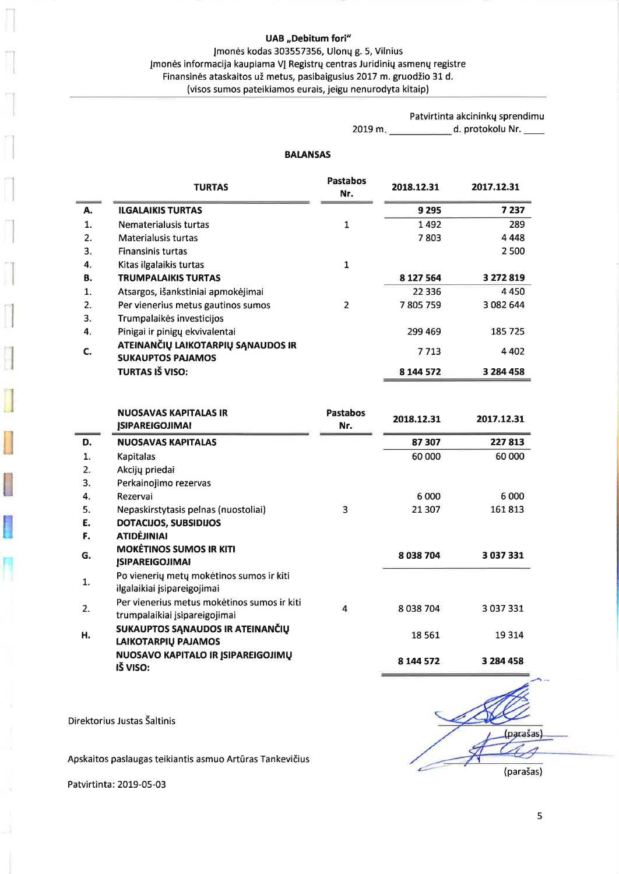Įmonės kodas 303557356, Ulonų g. 5, Vilnius Įmonės informacija kaupiama VĮ Registrų centras Juridinių asmenų registre Finansinės ataskaitos už metus, pasibaigusius 2017 m. gruodžio 31 d. (visos sumos pateikiamos eurais, jeigu nenurodyta kitaip)

> Patvirtinta akcininkų sprendimu 2019 m. \_\_\_\_\_\_\_\_\_\_\_\_\_\_\_\_ d. protokolu Nr. \_\_\_\_\_

#### **BALANSAS**

|    | TURTAS                                                         | <b>Pastabos</b><br>Nr. | 2018.12.31 | 2017.12.31 |
|----|----------------------------------------------------------------|------------------------|------------|------------|
| А. | <b>ILGALAIKIS TURTAS</b>                                       |                        | 9 2 9 5    | 7 2 3 7    |
| 1. | Nematerialusis turtas                                          | 1                      | 1492       | 289        |
| 2. | Materialusis turtas                                            |                        | 7803       | 4 4 4 8    |
| 3. | <b>Finansinis turtas</b>                                       |                        |            | 2 500      |
| 4. | Kitas ilgalaikis turtas                                        | 1                      |            |            |
| В. | <b>TRUMPALAIKIS TURTAS</b>                                     |                        | 8 127 564  | 3 272 819  |
| 1. | Atsargos, išankstiniai apmokėjimai                             |                        | 22 3 36    | 4450       |
| 2. | Per vienerius metus gautinos sumos                             | 2                      | 7805759    | 3 082 644  |
| 3. | Trumpalaikės investicijos                                      |                        |            |            |
| 4. | Pinigai ir pinigų ekvivalentai                                 |                        | 299 469    | 185 725    |
| C. | ATEINANČIŲ LAIKOTARPIŲ SĄNAUDOS IR<br><b>SUKAUPTOS PAJAMOS</b> |                        | 7 7 1 3    | 4 4 0 2    |
|    | TURTAS IŠ VISO:                                                |                        | 8 144 572  | 3 284 458  |

|    | <b>NUOSAVAS KAPITALAS IR</b><br><b>JSIPAREIGOJIMAI</b>                       | <b>Pastabos</b><br>Nr. | 2018.12.31 | 2017.12.31    |
|----|------------------------------------------------------------------------------|------------------------|------------|---------------|
| D. | <b>NUOSAVAS KAPITALAS</b>                                                    |                        | 87 307     | 227813        |
| 1. | Kapitalas                                                                    |                        | 60 000     | 60 000        |
| 2. | Akcijų priedai                                                               |                        |            |               |
| 3. | Perkainojimo rezervas                                                        |                        |            |               |
| 4. | Rezervai                                                                     |                        | 6 0 0 0    | 6000          |
| 5. | Nepaskirstytasis pelnas (nuostoliai)                                         | 3                      | 21 307     | 161813        |
| Е. | <b>DOTACIJOS, SUBSIDIJOS</b>                                                 |                        |            |               |
| F. | <b>ATIDÈJINIAI</b>                                                           |                        |            |               |
| G. | <b>MOKETINOS SUMOS IR KITI</b><br><b>ISIPAREIGOJIMAI</b>                     |                        | 8038704    | 3 037 331     |
| 1. | Po vienerių metų mokėtinos sumos ir kiti<br>ilgalaikiai isipareigojimai      |                        |            |               |
| 2. | Per vienerius metus mokėtinos sumos ir kiti<br>trumpalaikiai įsipareigojimai | 4                      | 8038704    | 3 0 3 7 3 3 1 |
| Н. | SUKAUPTOS SANAUDOS IR ATEINANČIŲ<br>LAIKOTARPIŲ PAJAMOS                      |                        | 18 5 61    | 19 3 14       |
|    | NUOSAVO KAPITALO IR ĮSIPAREIGOJIMŲ<br>IŠ VISO:                               |                        | 8 144 572  | 3 284 458     |

(parašas) (parašas)

Direktorius Justas Šaltinis

Apskaitos paslaugas teikiantis asmuo Artūras Tankevičius

Patvirtinta: 2019-05-03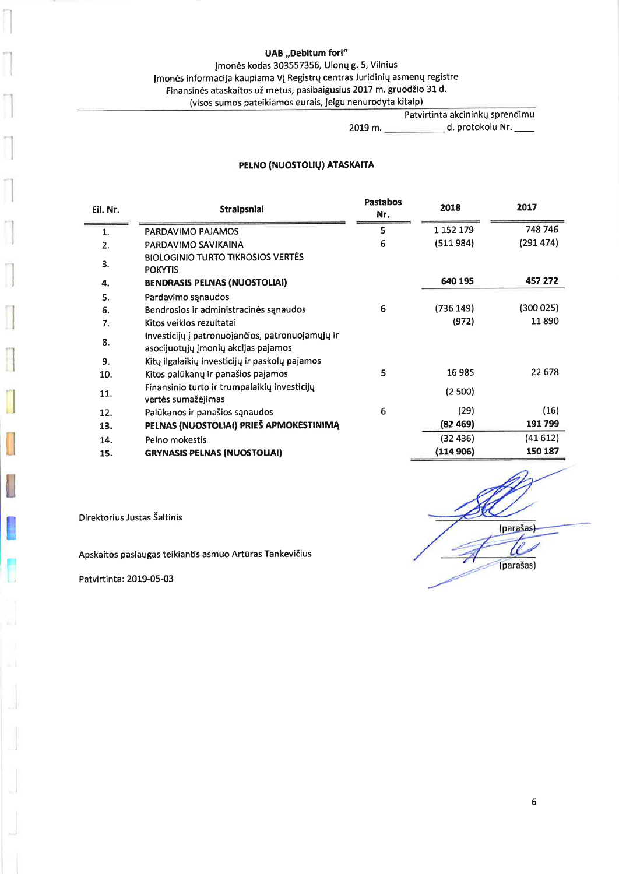# Įmonės kodas 303557356, Ulonų g. 5, Vilnius

Įmonės informacija kaupiama VĮ Registrų centras Juridinių asmenų registre

Finansinės ataskaitos už metus, pasibaigusius 2017 m. gruodžio 31 d.

(visos sumos pateikiamos eurais, jeigu nenurodyta kitaip)

Patvirtinta akcininkų sprendimu

# 2019 m. \_\_\_\_\_\_\_\_\_\_\_\_\_\_\_ d. protokolu Nr. \_\_\_\_

# PELNO (NUOSTOLIŲ) ATASKAITA

| Eil. Nr. | <b>Straipsniai</b>                                                                      | <b>Pastabos</b><br>Nr. | 2018      | 2017      |
|----------|-----------------------------------------------------------------------------------------|------------------------|-----------|-----------|
| 1.       | PARDAVIMO PAJAMOS                                                                       | 5                      | 1 152 179 | 748 746   |
| 2.       | PARDAVIMO SAVIKAINA                                                                     | 6                      | (511984)  | (291 474) |
| 3.       | <b>BIOLOGINIO TURTO TIKROSIOS VERTES</b><br><b>POKYTIS</b>                              |                        |           |           |
| 4.       | <b>BENDRASIS PELNAS (NUOSTOLIAI)</b>                                                    |                        | 640 195   | 457 272   |
| 5.       | Pardavimo sąnaudos                                                                      |                        |           |           |
| 6.       | Bendrosios ir administracinės sanaudos                                                  | 6                      | (736 149) | (300025)  |
| 7.       | Kitos veiklos rezultatai                                                                |                        | (972)     | 11890     |
| 8.       | Investicijų į patronuojančios, patronuojamųjų ir<br>asocijuotųjų įmonių akcijas pajamos |                        |           |           |
| 9.       | Kitų ilgalaikių investicijų ir paskolų pajamos                                          |                        |           |           |
| 10.      | Kitos palūkanų ir panašios pajamos                                                      | 5                      | 16985     | 22 678    |
| 11.      | Finansinio turto ir trumpalaikių investicijų<br>vertės sumažėjimas                      |                        | (2500)    |           |
| 12.      | Palūkanos ir panašios sąnaudos                                                          | 6                      | (29)      | (16)      |
| 13.      | PELNAS (NUOSTOLIAI) PRIEŠ APMOKESTINIMĄ                                                 |                        | (82469)   | 191799    |
| 14.      | Pelno mokestis                                                                          |                        | (32436)   | (41612)   |
| 15.      | <b>GRYNASIS PELNAS (NUOSTOLIAI)</b>                                                     |                        | (114 906) | 150 187   |

(parašas) U (parašas)

Direktorius Justas Šaltinis

Apskaitos paslaugas teikiantis asmuo Artūras Tankevičius

Patvirtinta: 2019-05-03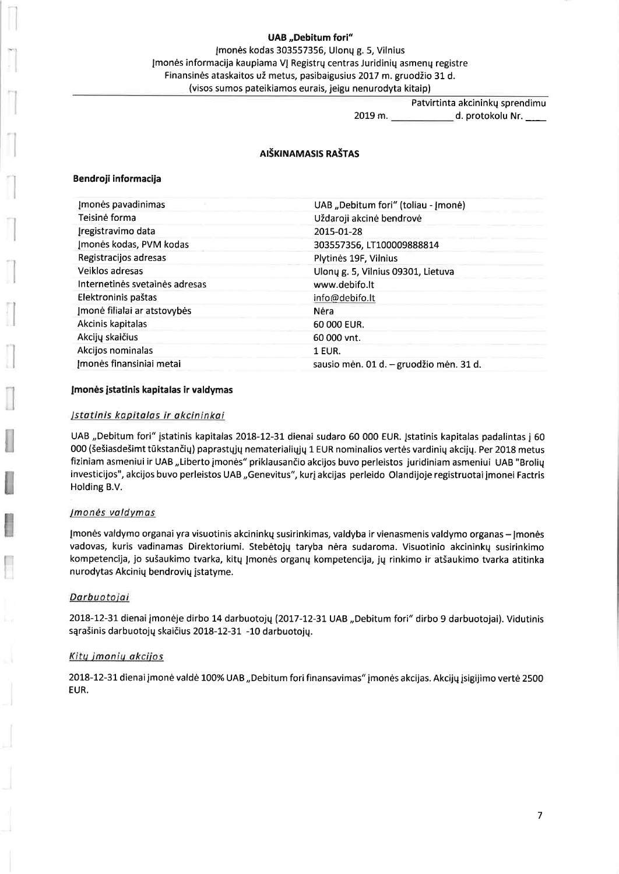Įmonės kodas 303557356, Ulonų g. 5, Vilnius Įmonės informacija kaupiama VĮ Registrų centras Juridinių asmenų registre Finansinės ataskaitos už metus, pasibaigusius 2017 m. gruodžio 31 d. (visos sumos pateikiamos eurais, jeigu nenurodyta kitaip)

Patvirtinta akcininkų sprendimu

2019 m. \_\_\_\_\_\_\_\_\_\_\_\_\_\_ d. protokolu Nr. \_\_\_\_

# AIŠKINAMASIS RAŠTAS

#### Bendroji informacija

| Imonės pavadinimas             | UAB "Debitum fori" (toliau - Įmonė)     |
|--------------------------------|-----------------------------------------|
| Teisinė forma                  | Uždaroji akcinė bendrovė                |
| Įregistravimo data             | 2015-01-28                              |
| Imonės kodas, PVM kodas        | 303557356, LT100009888814               |
| Registracijos adresas          | Plytinės 19F, Vilnius                   |
| Veiklos adresas                | Ulonų g. 5, Vilnius 09301, Lietuva      |
| Internetinės svetainės adresas | www.debifo.lt                           |
| Elektroninis paštas            | info@debifo.lt                          |
| Imonė filialai ar atstovybės   | Nėra                                    |
| Akcinis kapitalas              | 60 000 EUR.                             |
| Akcijų skaičius                | 60 000 vnt.                             |
| Akcijos nominalas              | 1 EUR.                                  |
| Imonės finansiniai metai       | sausio mėn. 01 d. – gruodžio mėn. 31 d. |

#### Įmonės įstatinis kapitalas ir valdymas

#### Įstatinis kapitalas ir akcininkai

UAB "Debitum fori" įstatinis kapitalas 2018-12-31 dienai sudaro 60 000 EUR. Įstatinis kapitalas padalintas į 60 000 (šešiasdešimt tūkstančių) paprastųjų nematerialiųjų 1 EUR nominalios vertės vardinių akcijų. Per 2018 metus fiziniam asmeniui ir UAB "Liberto įmonės" priklausančio akcijos buvo perleistos juridiniam asmeniui UAB "Brolių investicijos", akcijos buvo perleistos UAB "Genevitus", kurį akcijas perleido Olandijoje registruotai įmonei Factris Holding B.V.

#### *Imonės valdymas*

Įmonės valdymo organai yra visuotinis akcininkų susirinkimas, valdyba ir vienasmenis valdymo organas - Jmonės vadovas, kuris vadinamas Direktoriumi. Stebėtojų taryba nėra sudaroma. Visuotinio akcininkų susirinkimo kompetencija, jo sušaukimo tvarka, kitų Įmonės organų kompetencija, jų rinkimo ir atšaukimo tvarka atitinka nurodytas Akcinių bendrovių įstatyme.

#### Darbuotojai

2018-12-31 dienai įmonėje dirbo 14 darbuotojų (2017-12-31 UAB "Debitum fori" dirbo 9 darbuotojai). Vidutinis sąrašinis darbuotojų skaičius 2018-12-31 -10 darbuotojų.

#### Kitų įmonių akcijos

2018-12-31 dienai įmonė valdė 100% UAB "Debitum fori finansavimas" įmonės akcijas. Akcijų įsigijimo vertė 2500 EUR.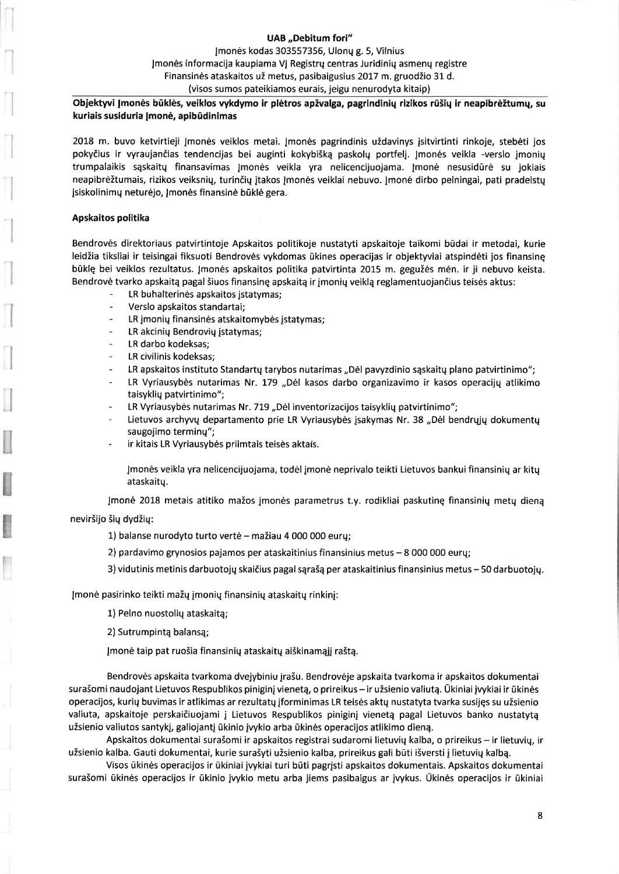Imonės kodas 303557356, Ulonų g. 5, Vilnius Įmonės informacija kaupiama VJ Registrų centras Juridinių asmenų registre Finansinės ataskaitos už metus, pasibaigusius 2017 m. gruodžio 31 d. (visos sumos pateikiamos eurais, jeigu nenurodyta kitaip)

# Objektyvi Įmonės būklės, veiklos vykdymo ir plėtros apžvalga, pagrindinių rizikos rūšių ir neapibrėžtumų, su kuriais susiduria Įmonė, apibūdinimas

2018 m. buvo ketvirtieji Įmonės veiklos metai. Įmonės pagrindinis uždavinys įsitvirtinti rinkoje, stebėti jos pokyčius ir vyraujančias tendencijas bei auginti kokybišką paskolų portfelį. Įmonės veikla -verslo įmonių trumpalaikis sąskaitų finansavimas Įmonės veikla yra nelicencijuojama. Įmonė nesusidūrė su jokiais neapibrėžtumais, rizikos veiksnių, turinčių įtakos Įmonės veiklai nebuvo. Įmonė dirbo pelningai, pati pradelstų jsiskolinimų neturėjo, Jmonės finansinė būklė gera.

#### Apskaitos politika

Bendrovės direktoriaus patvirtintoje Apskaitos politikoje nustatyti apskaitoje taikomi būdai ir metodai, kurie leidžia tiksliai ir teisingai fiksuoti Bendrovės vykdomas ūkines operacijas ir objektyviai atspindėti jos finansine būklę bei veiklos rezultatus. Įmonės apskaitos politika patvirtinta 2015 m. gegužės mėn. ir ji nebuvo keista. Bendrovė tvarko apskaitą pagal šiuos finansinę apskaitą ir įmonių veiklą reglamentuojančius teisės aktus:

- LR buhalterinės apskaitos įstatymas;
- Verslo apskaitos standartai;
- LR įmonių finansinės atskaitomybės įstatymas;
- LR akcinių Bendrovių įstatymas;
- LR darbo kodeksas;
- LR civilinis kodeksas;
- $\overline{a}$ LR apskaitos instituto Standartų tarybos nutarimas "Dėl pavyzdinio sąskaitų plano patvirtinimo";
- LR Vyriausybės nutarimas Nr. 179 "Dėl kasos darbo organizavimo ir kasos operacijų atlikimo taisyklių patvirtinimo";
- LR Vyriausybės nutarimas Nr. 719 "Dėl inventorizacijos taisyklių patvirtinimo";
- Lietuvos archyvų departamento prie LR Vyriausybės įsakymas Nr. 38 "Dėl bendrųjų dokumentų saugojimo terminų";
- ir kitais LR Vyriausybės priimtais teisės aktais.

Jmonės veikla yra nelicencijuojama, todėl įmonė neprivalo teikti Lietuvos bankui finansinių ar kitų ataskaitu.

Įmonė 2018 metais atitiko mažos įmonės parametrus t.y. rodikliai paskutinę finansinių metų dieną neviršijo šių dydžių:

1) balanse nurodyto turto vertė – mažiau 4 000 000 eurų;

2) pardavimo grynosios pajamos per ataskaitinius finansinius metus - 8 000 000 eurų;

3) vidutinis metinis darbuotojų skaičius pagal sąrašą per ataskaitinius finansinius metus - 50 darbuotojų.

Įmonė pasirinko teikti mažų įmonių finansinių ataskaitų rinkinį:

1) Pelno nuostolių ataskaitą;

2) Sutrumpintą balansą;

Įmonė taip pat ruošia finansinių ataskaitų aiškinamąjį raštą.

Bendrovės apskaita tvarkoma dvejybiniu jrašu. Bendrovėje apskaita tvarkoma ir apskaitos dokumentai surašomi naudojant Lietuvos Respublikos piniginį vienetą, o prireikus - ir užsienio valiutą. Ūkiniai įvykiai ir ūkinės operacijos, kurių buvimas ir atlikimas ar rezultatų įforminimas LR teisės aktų nustatyta tvarka susijęs su užsienio valiuta, apskaitoje perskaičiuojami į Lietuvos Respublikos piniginį vienetą pagal Lietuvos banko nustatytą užsienio valiutos santykį, galiojantį ūkinio įvykio arba ūkinės operacijos atlikimo dieną.

Apskaitos dokumentai surašomi ir apskaitos registrai sudaromi lietuvių kalba, o prireikus – ir lietuvių, ir užsienio kalba. Gauti dokumentai, kurie surašyti užsienio kalba, prireikus gali būti išversti į lietuvių kalbą.

Visos ūkinės operacijos ir ūkiniai įvykiai turi būti pagrįsti apskaitos dokumentais. Apskaitos dokumentai surašomi ūkinės operacijos ir ūkinio įvykio metu arba jiems pasibaigus ar įvykus. Ūkinės operacijos ir ūkiniai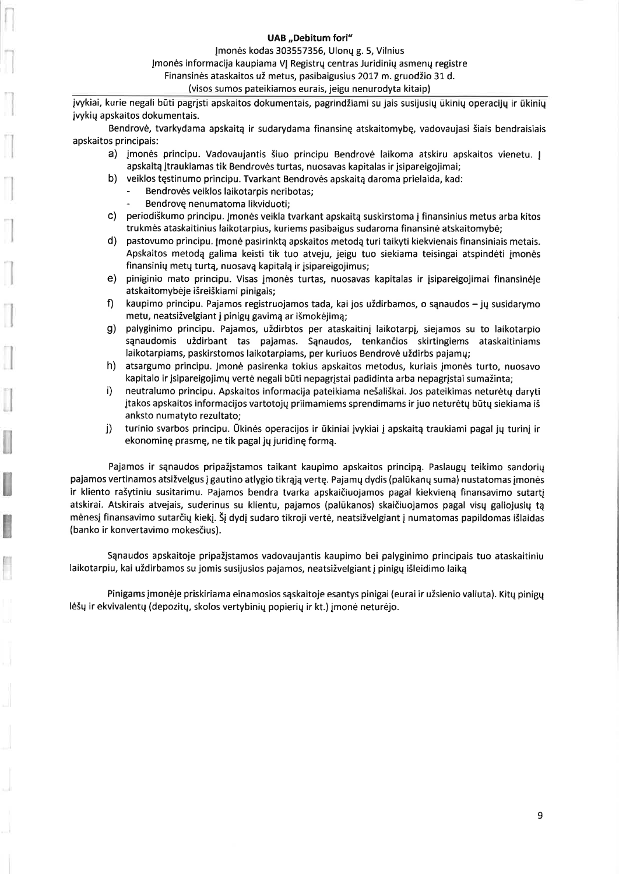Įmonės kodas 303557356, Ulonų g. 5, Vilnius

Jmonės informacija kaupiama VI Registrų centras Juridinių asmenų registre

Finansinės ataskaitos už metus, pasibaigusius 2017 m. gruodžio 31 d.

(visos sumos pateikiamos eurais, jeigu nenurodyta kitaip)

jvykiai, kurie negali būti pagrįsti apskaitos dokumentais, pagrindžiami su jais susijusių ūkinių operacijų ir ūkinių jvykių apskaitos dokumentais.

Bendrovė, tvarkydama apskaitą ir sudarydama finansinę atskaitomybę, vadovaujasi šiais bendraisiais apskaitos principais:

- a) jmonės principu. Vadovaujantis šiuo principu Bendrovė laikoma atskiru apskaitos vienetu. Į apskaitą įtraukiamas tik Bendrovės turtas, nuosavas kapitalas ir įsipareigojimai;
- b) veiklos tęstinumo principu. Tvarkant Bendrovės apskaitą daroma prielaida, kad:
	- Bendrovės veiklos laikotarpis neribotas;
	- Bendrovę nenumatoma likviduoti;
- c) periodiškumo principu. Jmonės veikla tvarkant apskaitą suskirstoma į finansinius metus arba kitos trukmės ataskaitinius laikotarpius, kuriems pasibaigus sudaroma finansinė atskaitomybė;
- $d)$ pastovumo principu. Įmonė pasirinktą apskaitos metodą turi taikyti kiekvienais finansiniais metais. Apskaitos metodą galima keisti tik tuo atveiu, jeigu tuo siekiama teisingai atspindėti imonės finansinių metų turtą, nuosavą kapitalą ir įsipareigojimus;
- piniginio mato principu. Visas jmonės turtas, nuosavas kapitalas ir įsipareigojimai finansinėje  $e)$ atskaitomybėje išreiškiami pinigais;
- $f$ kaupimo principu. Pajamos registruojamos tada, kai jos uždirbamos, o sąnaudos – jų susidarymo metu, neatsižvelgiant į pinigų gavimą ar išmokėjimą;
- palyginimo principu. Pajamos, uždirbtos per ataskaitinį laikotarpį, siejamos su to laikotarpio  $g)$ sąnaudomis uždirbant tas pajamas. Sąnaudos, tenkančios skirtingiems ataskaitiniams laikotarpiams, paskirstomos laikotarpiams, per kuriuos Bendrovė uždirbs pajamų;
- h) atsargumo principu. Jmonė pasirenka tokius apskaitos metodus, kuriais įmonės turto, nuosavo kapitalo ir įsipareigojimų vertė negali būti nepagrįstai padidinta arba nepagrįstai sumažinta;
- neutralumo principu. Apskaitos informacija pateikiama nešališkai. Jos pateikimas neturėtų daryti i) įtakos apskaitos informacijos vartotojų priimamiems sprendimams ir juo neturėtų būtų siekiama iš anksto numatyto rezultato;
- turinio svarbos principu. Ūkinės operacijos ir ūkiniai įvykiai į apskaitą traukiami pagal jų turinį ir j) ekonominę prasmę, ne tik pagal jų juridinę formą.

Pajamos ir sąnaudos pripažįstamos taikant kaupimo apskaitos principą. Paslaugų teikimo sandorių pajamos vertinamos atsižvelgus į gautino atlygio tikrąją vertę. Pajamų dydis (palūkanų suma) nustatomas įmonės ir kliento rašytiniu susitarimu. Pajamos bendra tvarka apskaičiuojamos pagal kiekvieną finansavimo sutartį atskirai. Atskirais atvejais, suderinus su klientu, pajamos (palūkanos) skaičiuojamos pagal visų galiojusių tą mėnesį finansavimo sutarčių kiekį. Šį dydį sudaro tikroji vertė, neatsižvelgiant į numatomas papildomas išlaidas (banko ir konvertavimo mokesčius).

Sąnaudos apskaitoje pripažįstamos vadovaujantis kaupimo bei palyginimo principais tuo ataskaitiniu laikotarpiu, kai uždirbamos su jomis susijusios pajamos, neatsižvelgiant į pinigų išleidimo laiką

Pinigams įmonėje priskiriama einamosios sąskaitoje esantys pinigai (eurai ir užsienio valiuta). Kitų pinigų lėšų ir ekvivalentų (depozitų, skolos vertybinių popierių ir kt.) įmonė neturėjo.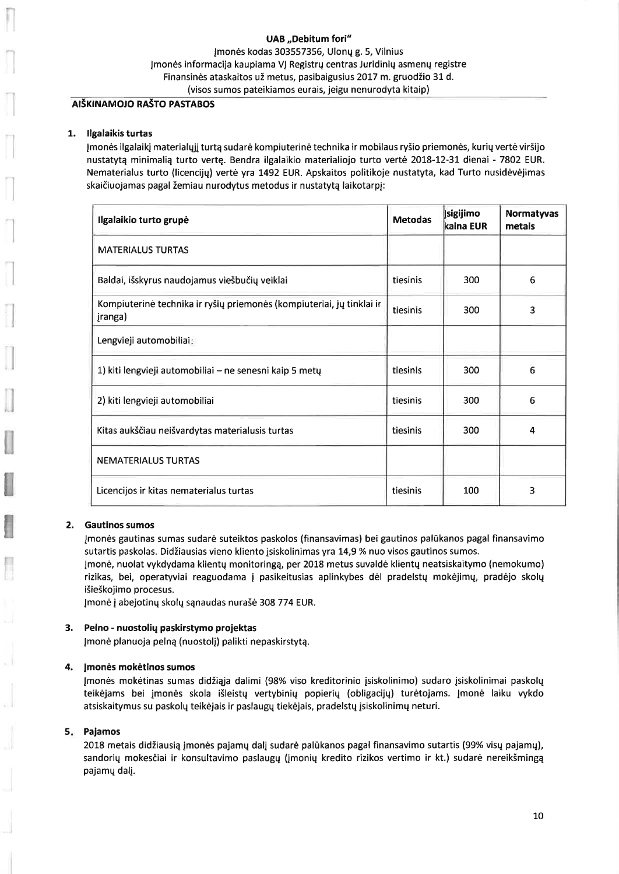Jmonės kodas 303557356, Ulonų g. 5, Vilnius Jmonės informacija kaupiama VJ Registrų centras Juridinių asmenų registre Finansinės ataskaitos už metus, pasibaigusius 2017 m. gruodžio 31 d. (visos sumos pateikiamos eurais, jeigu nenurodyta kitaip)

### AIŠKINAMOJO RAŠTO PASTABOS

### 1. Ilgalaikis turtas

Įmonės ilgalaikį materialųjį turtą sudarė kompiuterinė technika ir mobilaus ryšio priemonės, kurių vertė viršijo nustatytą minimalią turto vertę. Bendra ilgalaikio materialiojo turto vertė 2018-12-31 dienai - 7802 EUR. Nematerialus turto (licencijų) vertė yra 1492 EUR. Apskaitos politikoje nustatyta, kad Turto nusidėvėjimas skaičiuojamas pagal žemiau nurodytus metodus ir nustatytą laikotarpį:

| Ilgalaikio turto grupė                                                           | <b>Metodas</b> | <b>sigijimo</b><br>lkaina EUR | <b>Normatyvas</b><br>metais |
|----------------------------------------------------------------------------------|----------------|-------------------------------|-----------------------------|
| <b>MATERIALUS TURTAS</b>                                                         |                |                               |                             |
| Baldai, išskyrus naudojamus viešbučių veiklai                                    | tiesinis       | 300                           | 6                           |
| Kompiuterinė technika ir ryšių priemonės (kompiuteriai, jų tinklai ir<br>įranga) | tiesinis       | 300                           | 3                           |
| Lengvieji automobiliai:                                                          |                |                               |                             |
| 1) kiti lengvieji automobiliai – ne senesni kaip 5 metų                          | tiesinis       | 300                           | 6                           |
| 2) kiti lengvieji automobiliai                                                   | tiesinis       | 300                           | 6                           |
| Kitas aukščiau neišvardytas materialusis turtas                                  | tiesinis       | 300                           | 4                           |
| <b>NEMATERIALUS TURTAS</b>                                                       |                |                               |                             |
| Licencijos ir kitas nematerialus turtas                                          | tiesinis       | 100                           | 3                           |

#### $2.$ **Gautinos sumos**

Imonės gautinas sumas sudarė suteiktos paskolos (finansavimas) bei gautinos palūkanos pagal finansavimo sutartis paskolas. Didžiausias vieno kliento įsiskolinimas yra 14,9 % nuo visos gautinos sumos.

[monė, nuolat vykdydama klientų monitoringą, per 2018 metus suvaldė klientų neatsiskaitymo (nemokumo) rizikas, bei, operatyviai reaguodama į pasikeitusias aplinkybes dėl pradelstų mokėjimų, pradėjo skolų išieškojimo procesus.

Įmonė į abejotinų skolų sąnaudas nurašė 308 774 EUR.

#### 3. Pelno - nuostolių paskirstymo projektas

Įmonė planuoja pelną (nuostolį) palikti nepaskirstytą.

#### 4. Įmonės mokėtinos sumos

Įmonės mokėtinas sumas didžiąja dalimi (98% viso kreditorinio įsiskolinimo) sudaro įsiskolinimai paskolų teikėjams bei įmonės skola išleistų vertybinių popierių (obligacijų) turėtojams. Įmonė laiku vykdo atsiskaitymus su paskolų teikėjais ir paslaugų tiekėjais, pradelstų įsiskolinimų neturi.

#### 5. Pajamos

2018 metais didžiausią įmonės pajamų dalį sudarė palūkanos pagal finansavimo sutartis (99% visų pajamų), sandorių mokesčiai ir konsultavimo paslaugų (įmonių kredito rizikos vertimo ir kt.) sudarė nereikšmingą pajamų dalį.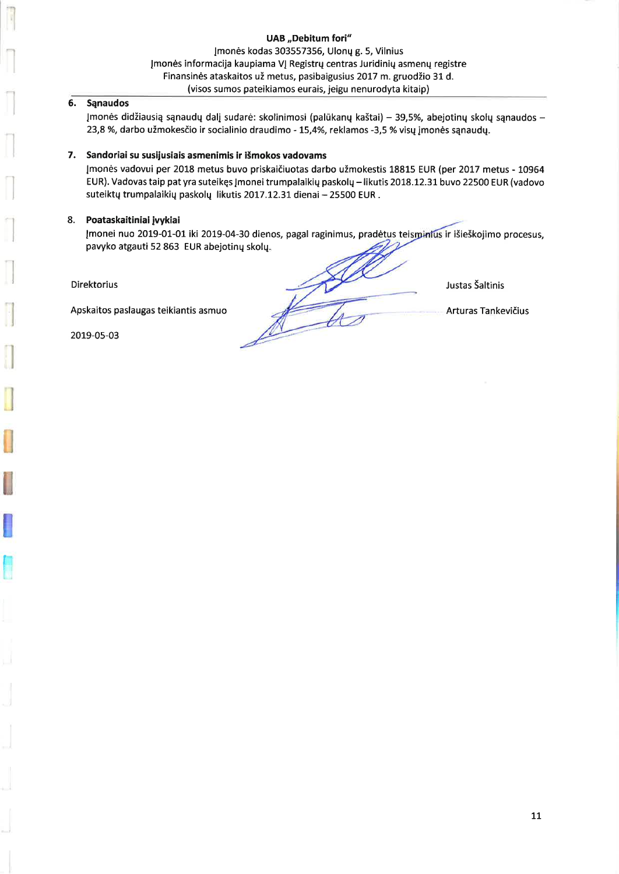### **UAB** "Debitum fori" Imonės kodas 303557356, Ulonų g. 5, Vilnius Jmonės informacija kaupiama VJ Registrų centras Juridinių asmenų registre Finansinės ataskaitos už metus, pasibaigusius 2017 m. gruodžio 31 d. (visos sumos pateikiamos eurais, jeigu nenurodyta kitaip)

#### **Sanaudos** 6.

Įmonės didžiausią sąnaudų dalį sudarė: skolinimosi (palūkanų kaštai) – 39,5%, abejotinų skolų sąnaudos – 23,8 %, darbo užmokesčio ir socialinio draudimo - 15,4%, reklamos -3,5 % visų įmonės sąnaudų.

## 7. Sandoriai su susijusiais asmenimis ir išmokos vadovams

Įmonės vadovui per 2018 metus buvo priskaičiuotas darbo užmokestis 18815 EUR (per 2017 metus - 10964 EUR). Vadovas taip pat yra suteikęs Įmonei trumpalaikių paskolų – likutis 2018.12.31 buvo 22500 EUR (vadovo suteiktų trumpalaikių paskolų likutis 2017.12.31 dienai - 25500 EUR.

### 8. Poataskaitiniai įvykiai

Įmonei nuo 2019-01-01 iki 2019-04-30 dienos, pagal raginimus, pradėtus teisminius ir išieškojimo procesus, pavyko atgauti 52 863 EUR abejotinų skolų.

**Direktorius** 

Apskaitos paslaugas teikiantis asmuo

2019-05-03

Justas Šaltinis

Arturas Tankevičius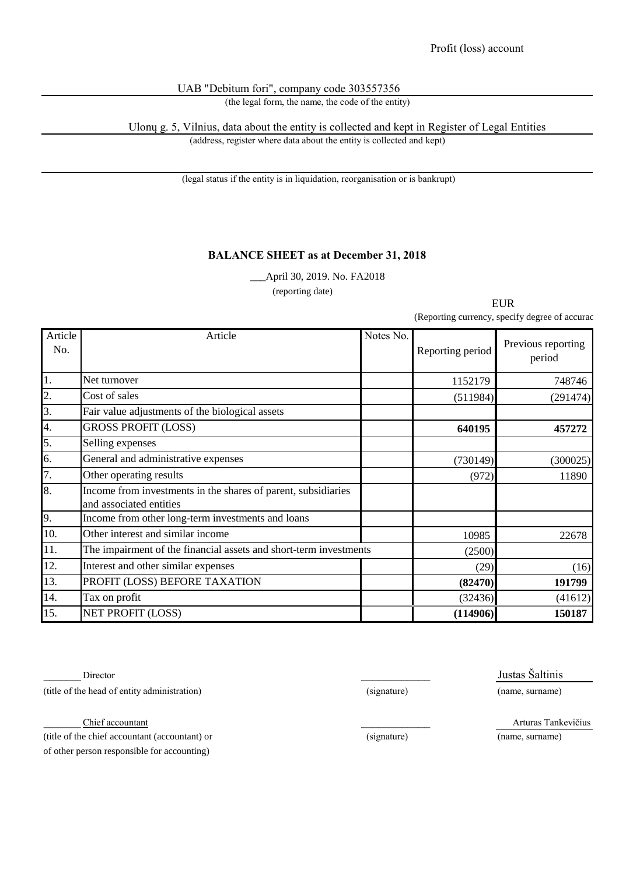# UAB "Debitum fori", company code 303557356

(the legal form, the name, the code of the entity)

Ulonų g. 5, Vilnius, data about the entity is collected and kept in Register of Legal Entities (address, register where data about the entity is collected and kept)

(legal status if the entity is in liquidation, reorganisation or is bankrupt)

# **BALANCE SHEET as at December 31, 2018**

\_\_\_April 30, 2019. No. FA2018

(reporting date) 

EUR

(Reporting currency, specify degree of accurac

| Article<br>No. | Article                                                                                  | Notes No. | Reporting period | Previous reporting<br>period |
|----------------|------------------------------------------------------------------------------------------|-----------|------------------|------------------------------|
| 1.             | Net turnover                                                                             |           | 1152179          | 748746                       |
| 2.             | Cost of sales                                                                            |           | (511984)         | (291474)                     |
| 3.             | Fair value adjustments of the biological assets                                          |           |                  |                              |
| 4.             | <b>GROSS PROFIT (LOSS)</b>                                                               |           | 640195           | 457272                       |
| 5.             | Selling expenses                                                                         |           |                  |                              |
| 6.             | General and administrative expenses                                                      |           | (730149)         | (300025)                     |
| 7.             | Other operating results                                                                  |           | (972)            | 11890                        |
| 8.             | Income from investments in the shares of parent, subsidiaries<br>and associated entities |           |                  |                              |
| 9.             | Income from other long-term investments and loans                                        |           |                  |                              |
| 10.            | Other interest and similar income                                                        |           | 10985            | 22678                        |
| 11.            | The impairment of the financial assets and short-term investments                        |           | (2500)           |                              |
| 12.            | Interest and other similar expenses                                                      |           | (29)             | (16)                         |
| 13.            | PROFIT (LOSS) BEFORE TAXATION                                                            |           | (82470)          | 191799                       |
| 14.            | Tax on profit                                                                            |           | (32436)          | (41612)                      |
| 15.            | <b>NET PROFIT (LOSS)</b>                                                                 |           | (114906)         | 150187                       |

Director Justas Šaltinis (title of the head of entity administration) (signature) (name, surname)

\_\_\_\_\_\_\_\_\_\_\_\_\_\_\_\_\_\_\_\_\_\_\_\_\_\_\_\_\_\_\_\_ Chief accountant \_\_\_\_\_\_\_\_\_\_\_\_\_\_\_ Arturas Tankevičius

(title of the chief accountant (accountant) or (signature) (name, surname) of other person responsible for accounting)